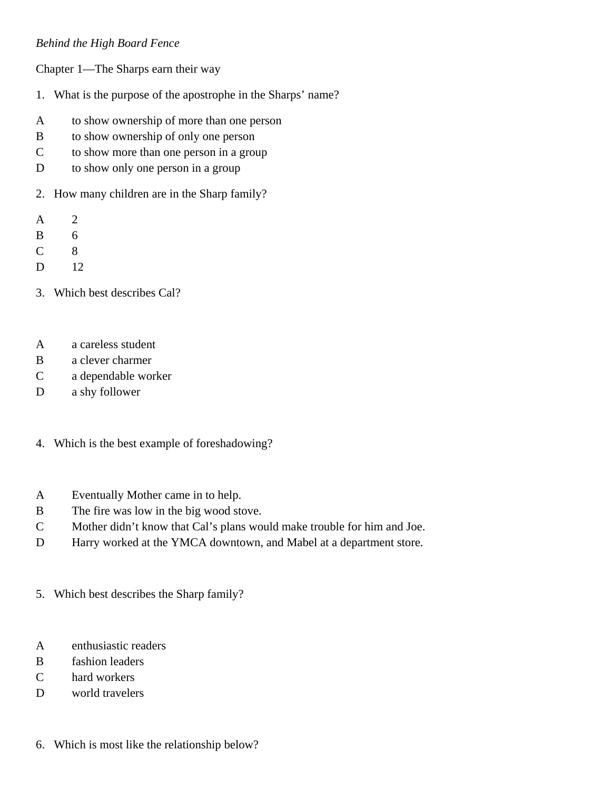## *Behind the High Board Fence*

Chapter 1—The Sharps earn their way

- 1. What is the purpose of the apostrophe in the Sharps' name?
- A to show ownership of more than one person
- B to show ownership of only one person
- C to show more than one person in a group
- D to show only one person in a group
- 2. How many children are in the Sharp family?
- A 2
- B 6
- C 8
- D 12
- 3. Which best describes Cal?
- A a careless student
- B a clever charmer
- C a dependable worker
- D a shy follower
- 4. Which is the best example of foreshadowing?
- A Eventually Mother came in to help.
- B The fire was low in the big wood stove.
- C Mother didn't know that Cal's plans would make trouble for him and Joe.
- D Harry worked at the YMCA downtown, and Mabel at a department store.
- 5. Which best describes the Sharp family?
- A enthusiastic readers
- B fashion leaders
- C hard workers
- D world travelers
- 6. Which is most like the relationship below?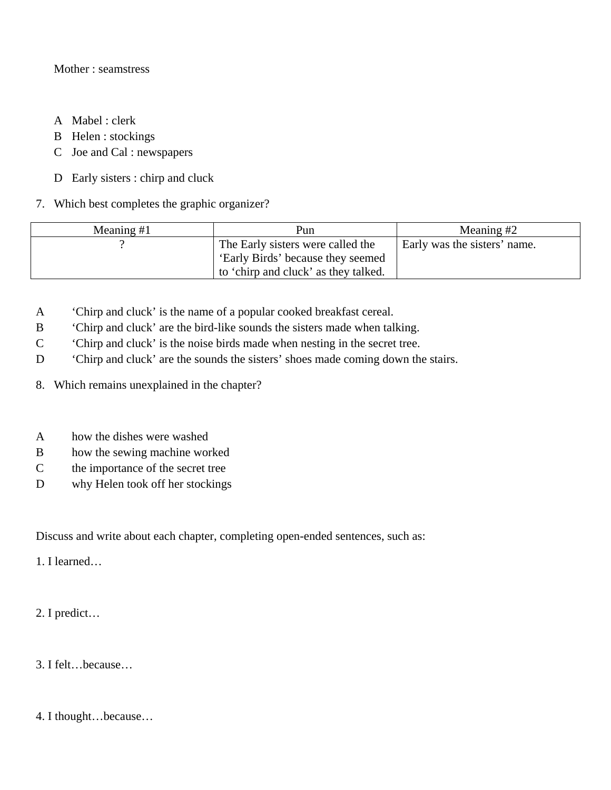## Mother : seamstress

- A Mabel : clerk
- B Helen : stockings
- C Joe and Cal : newspapers
- D Early sisters : chirp and cluck

## 7. Which best completes the graphic organizer?

| Meaning $#1$ | Pun                                  | Meaning $#2$                 |
|--------------|--------------------------------------|------------------------------|
|              | The Early sisters were called the    | Early was the sisters' name. |
|              | 'Early Birds' because they seemed    |                              |
|              | to 'chirp and cluck' as they talked. |                              |

- A 'Chirp and cluck' is the name of a popular cooked breakfast cereal.
- B 'Chirp and cluck' are the bird-like sounds the sisters made when talking.
- C 'Chirp and cluck' is the noise birds made when nesting in the secret tree.
- D 'Chirp and cluck' are the sounds the sisters' shoes made coming down the stairs.
- 8. Which remains unexplained in the chapter?
- A how the dishes were washed
- B how the sewing machine worked
- C the importance of the secret tree
- D why Helen took off her stockings

Discuss and write about each chapter, completing open-ended sentences, such as:

1. I learned…

2. I predict…

3. I felt…because…

4. I thought…because…